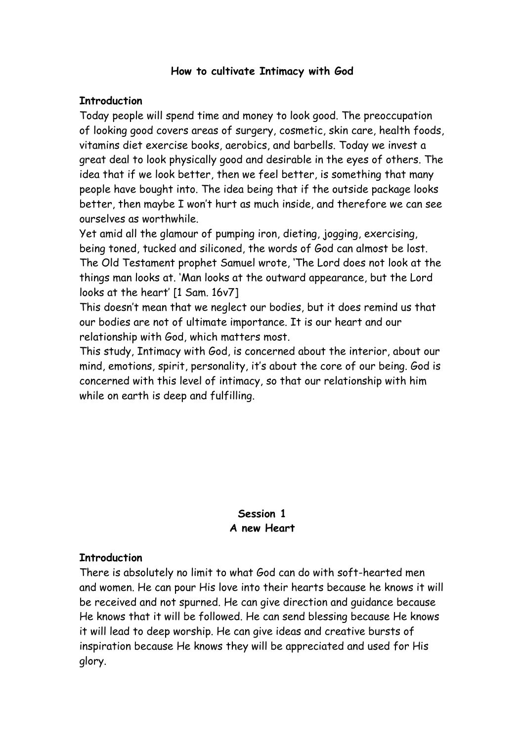#### **How to cultivate Intimacy with God**

### **Introduction**

Today people will spend time and money to look good. The preoccupation of looking good covers areas of surgery, cosmetic, skin care, health foods, vitamins diet exercise books, aerobics, and barbells. Today we invest a great deal to look physically good and desirable in the eyes of others. The idea that if we look better, then we feel better, is something that many people have bought into. The idea being that if the outside package looks better, then maybe I won't hurt as much inside, and therefore we can see ourselves as worthwhile.

Yet amid all the glamour of pumping iron, dieting, jogging, exercising, being toned, tucked and siliconed, the words of God can almost be lost. The Old Testament prophet Samuel wrote, 'The Lord does not look at the things man looks at. 'Man looks at the outward appearance, but the Lord looks at the heart' [1 Sam. 16v7]

This doesn't mean that we neglect our bodies, but it does remind us that our bodies are not of ultimate importance. It is our heart and our relationship with God, which matters most.

This study, Intimacy with God, is concerned about the interior, about our mind, emotions, spirit, personality, it's about the core of our being. God is concerned with this level of intimacy, so that our relationship with him while on earth is deep and fulfilling.

### **Session 1 A new Heart**

#### **Introduction**

There is absolutely no limit to what God can do with soft-hearted men and women. He can pour His love into their hearts because he knows it will be received and not spurned. He can give direction and guidance because He knows that it will be followed. He can send blessing because He knows it will lead to deep worship. He can give ideas and creative bursts of inspiration because He knows they will be appreciated and used for His glory.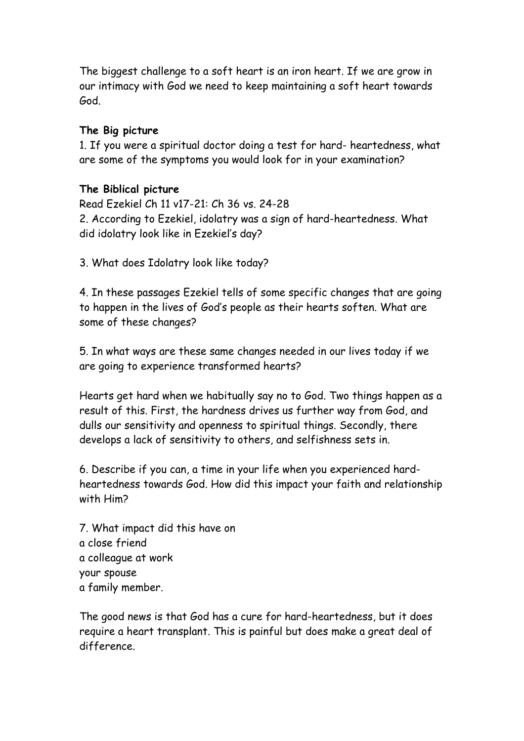The biggest challenge to a soft heart is an iron heart. If we are grow in our intimacy with God we need to keep maintaining a soft heart towards God.

### **The Big picture**

1. If you were a spiritual doctor doing a test for hard- heartedness, what are some of the symptoms you would look for in your examination?

### **The Biblical picture**

Read Ezekiel Ch 11 v17-21: Ch 36 vs. 24-28 2. According to Ezekiel, idolatry was a sign of hard-heartedness. What did idolatry look like in Ezekiel's day?

3. What does Idolatry look like today?

4. In these passages Ezekiel tells of some specific changes that are going to happen in the lives of God's people as their hearts soften. What are some of these changes?

5. In what ways are these same changes needed in our lives today if we are going to experience transformed hearts?

Hearts get hard when we habitually say no to God. Two things happen as a result of this. First, the hardness drives us further way from God, and dulls our sensitivity and openness to spiritual things. Secondly, there develops a lack of sensitivity to others, and selfishness sets in.

6. Describe if you can, a time in your life when you experienced hardheartedness towards God. How did this impact your faith and relationship with Him?

7. What impact did this have on a close friend a colleague at work your spouse a family member.

The good news is that God has a cure for hard-heartedness, but it does require a heart transplant. This is painful but does make a great deal of difference.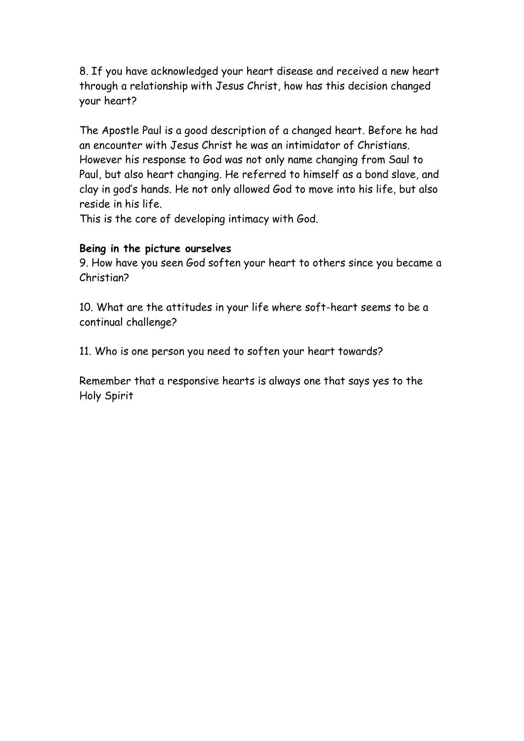8. If you have acknowledged your heart disease and received a new heart through a relationship with Jesus Christ, how has this decision changed your heart?

The Apostle Paul is a good description of a changed heart. Before he had an encounter with Jesus Christ he was an intimidator of Christians. However his response to God was not only name changing from Saul to Paul, but also heart changing. He referred to himself as a bond slave, and clay in god's hands. He not only allowed God to move into his life, but also reside in his life.

This is the core of developing intimacy with God.

### **Being in the picture ourselves**

9. How have you seen God soften your heart to others since you became a Christian?

10. What are the attitudes in your life where soft-heart seems to be a continual challenge?

11. Who is one person you need to soften your heart towards?

Remember that a responsive hearts is always one that says yes to the Holy Spirit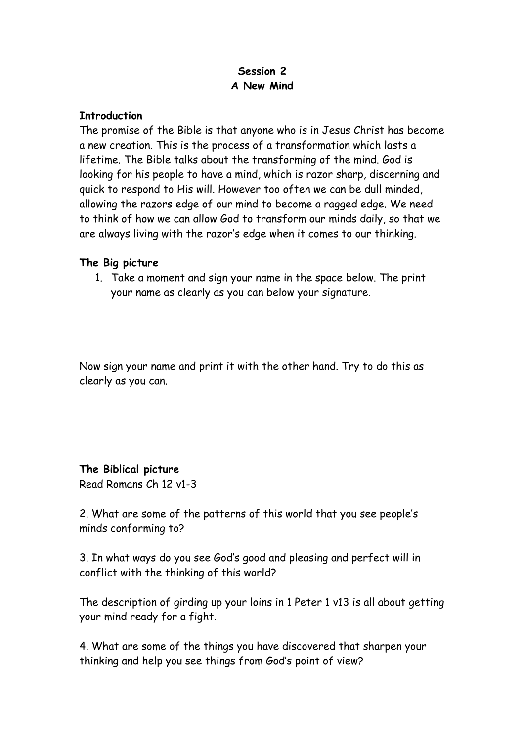## **Session 2 A New Mind**

#### **Introduction**

The promise of the Bible is that anyone who is in Jesus Christ has become a new creation. This is the process of a transformation which lasts a lifetime. The Bible talks about the transforming of the mind. God is looking for his people to have a mind, which is razor sharp, discerning and quick to respond to His will. However too often we can be dull minded, allowing the razors edge of our mind to become a ragged edge. We need to think of how we can allow God to transform our minds daily, so that we are always living with the razor's edge when it comes to our thinking.

#### **The Big picture**

1. Take a moment and sign your name in the space below. The print your name as clearly as you can below your signature.

Now sign your name and print it with the other hand. Try to do this as clearly as you can.

**The Biblical picture** Read Romans Ch 12 v1-3

2. What are some of the patterns of this world that you see people's minds conforming to?

3. In what ways do you see God's good and pleasing and perfect will in conflict with the thinking of this world?

The description of girding up your loins in 1 Peter 1 v13 is all about getting your mind ready for a fight.

4. What are some of the things you have discovered that sharpen your thinking and help you see things from God's point of view?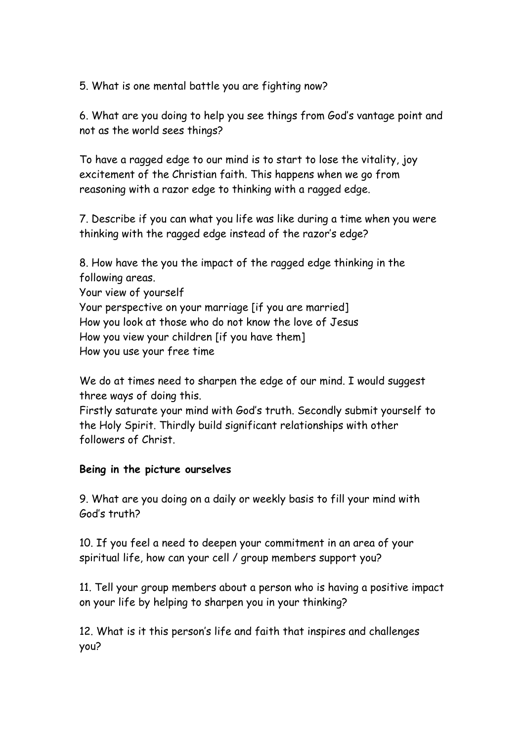5. What is one mental battle you are fighting now?

6. What are you doing to help you see things from God's vantage point and not as the world sees things?

To have a ragged edge to our mind is to start to lose the vitality, joy excitement of the Christian faith. This happens when we go from reasoning with a razor edge to thinking with a ragged edge.

7. Describe if you can what you life was like during a time when you were thinking with the ragged edge instead of the razor's edge?

8. How have the you the impact of the ragged edge thinking in the following areas. Your view of yourself

Your perspective on your marriage [if you are married] How you look at those who do not know the love of Jesus How you view your children [if you have them] How you use your free time

We do at times need to sharpen the edge of our mind. I would suggest three ways of doing this.

Firstly saturate your mind with God's truth. Secondly submit yourself to the Holy Spirit. Thirdly build significant relationships with other followers of Christ.

#### **Being in the picture ourselves**

9. What are you doing on a daily or weekly basis to fill your mind with God's truth?

10. If you feel a need to deepen your commitment in an area of your spiritual life, how can your cell / group members support you?

11. Tell your group members about a person who is having a positive impact on your life by helping to sharpen you in your thinking?

12. What is it this person's life and faith that inspires and challenges you?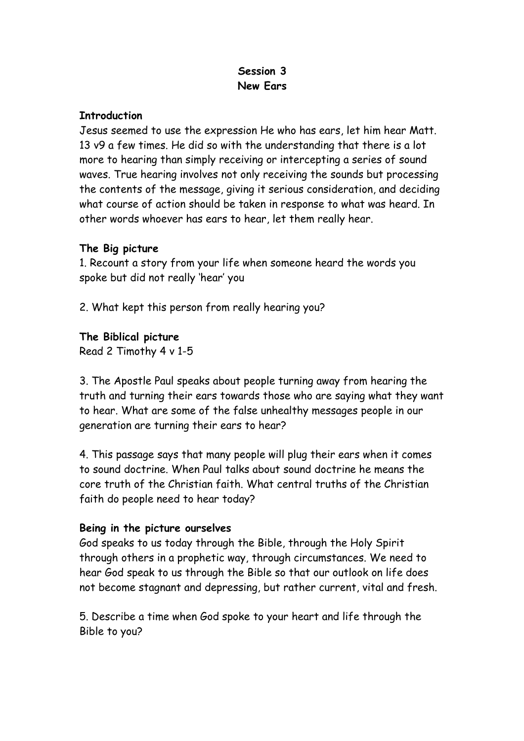## **Session 3 New Ears**

#### **Introduction**

Jesus seemed to use the expression He who has ears, let him hear Matt. 13 v9 a few times. He did so with the understanding that there is a lot more to hearing than simply receiving or intercepting a series of sound waves. True hearing involves not only receiving the sounds but processing the contents of the message, giving it serious consideration, and deciding what course of action should be taken in response to what was heard. In other words whoever has ears to hear, let them really hear.

### **The Big picture**

1. Recount a story from your life when someone heard the words you spoke but did not really 'hear' you

2. What kept this person from really hearing you?

## **The Biblical picture**

Read 2 Timothy 4 v 1-5

3. The Apostle Paul speaks about people turning away from hearing the truth and turning their ears towards those who are saying what they want to hear. What are some of the false unhealthy messages people in our generation are turning their ears to hear?

4. This passage says that many people will plug their ears when it comes to sound doctrine. When Paul talks about sound doctrine he means the core truth of the Christian faith. What central truths of the Christian faith do people need to hear today?

## **Being in the picture ourselves**

God speaks to us today through the Bible, through the Holy Spirit through others in a prophetic way, through circumstances. We need to hear God speak to us through the Bible so that our outlook on life does not become stagnant and depressing, but rather current, vital and fresh.

5. Describe a time when God spoke to your heart and life through the Bible to you?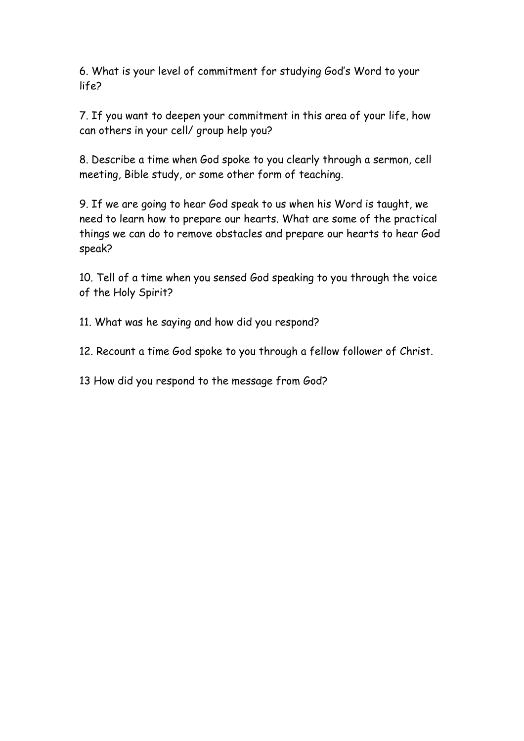6. What is your level of commitment for studying God's Word to your life?

7. If you want to deepen your commitment in this area of your life, how can others in your cell/ group help you?

8. Describe a time when God spoke to you clearly through a sermon, cell meeting, Bible study, or some other form of teaching.

9. If we are going to hear God speak to us when his Word is taught, we need to learn how to prepare our hearts. What are some of the practical things we can do to remove obstacles and prepare our hearts to hear God speak?

10. Tell of a time when you sensed God speaking to you through the voice of the Holy Spirit?

11. What was he saying and how did you respond?

12. Recount a time God spoke to you through a fellow follower of Christ.

13 How did you respond to the message from God?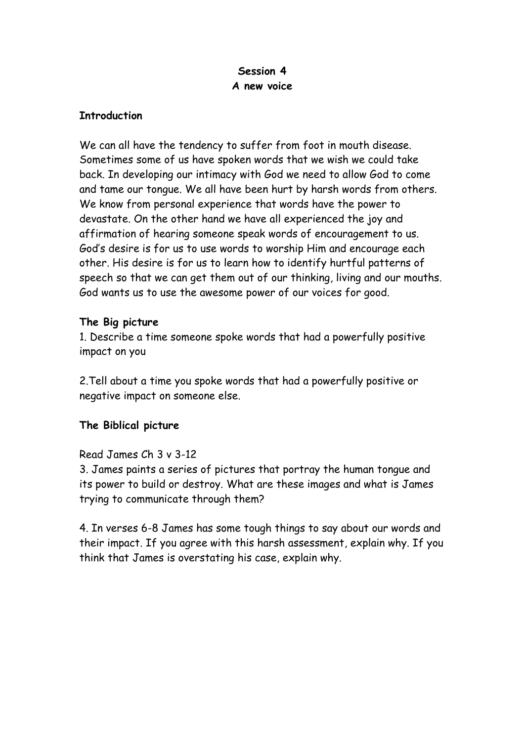## **Session 4 A new voice**

#### **Introduction**

We can all have the tendency to suffer from foot in mouth disease. Sometimes some of us have spoken words that we wish we could take back. In developing our intimacy with God we need to allow God to come and tame our tongue. We all have been hurt by harsh words from others. We know from personal experience that words have the power to devastate. On the other hand we have all experienced the joy and affirmation of hearing someone speak words of encouragement to us. God's desire is for us to use words to worship Him and encourage each other. His desire is for us to learn how to identify hurtful patterns of speech so that we can get them out of our thinking, living and our mouths. God wants us to use the awesome power of our voices for good.

## **The Big picture**

1. Describe a time someone spoke words that had a powerfully positive impact on you

2.Tell about a time you spoke words that had a powerfully positive or negative impact on someone else.

## **The Biblical picture**

#### Read James Ch 3 v 3-12

3. James paints a series of pictures that portray the human tongue and its power to build or destroy. What are these images and what is James trying to communicate through them?

4. In verses 6-8 James has some tough things to say about our words and their impact. If you agree with this harsh assessment, explain why. If you think that James is overstating his case, explain why.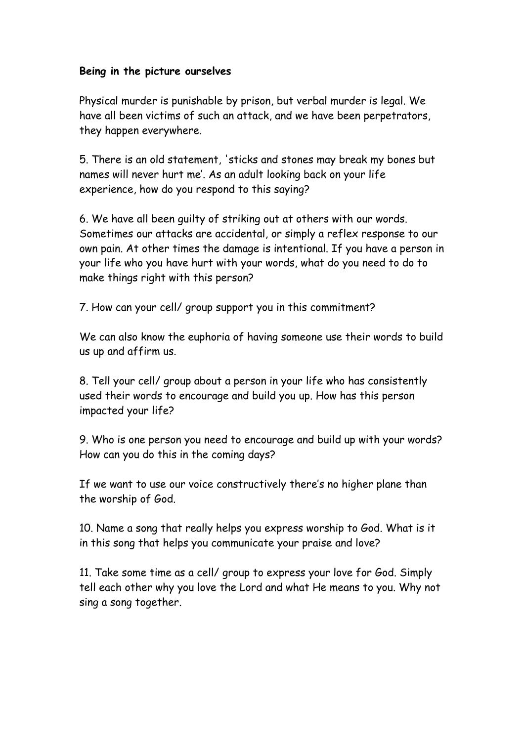### **Being in the picture ourselves**

Physical murder is punishable by prison, but verbal murder is legal. We have all been victims of such an attack, and we have been perpetrators, they happen everywhere.

5. There is an old statement, 'sticks and stones may break my bones but names will never hurt me'. As an adult looking back on your life experience, how do you respond to this saying?

6. We have all been guilty of striking out at others with our words. Sometimes our attacks are accidental, or simply a reflex response to our own pain. At other times the damage is intentional. If you have a person in your life who you have hurt with your words, what do you need to do to make things right with this person?

7. How can your cell/ group support you in this commitment?

We can also know the euphoria of having someone use their words to build us up and affirm us.

8. Tell your cell/ group about a person in your life who has consistently used their words to encourage and build you up. How has this person impacted your life?

9. Who is one person you need to encourage and build up with your words? How can you do this in the coming days?

If we want to use our voice constructively there's no higher plane than the worship of God.

10. Name a song that really helps you express worship to God. What is it in this song that helps you communicate your praise and love?

11. Take some time as a cell/ group to express your love for God. Simply tell each other why you love the Lord and what He means to you. Why not sing a song together.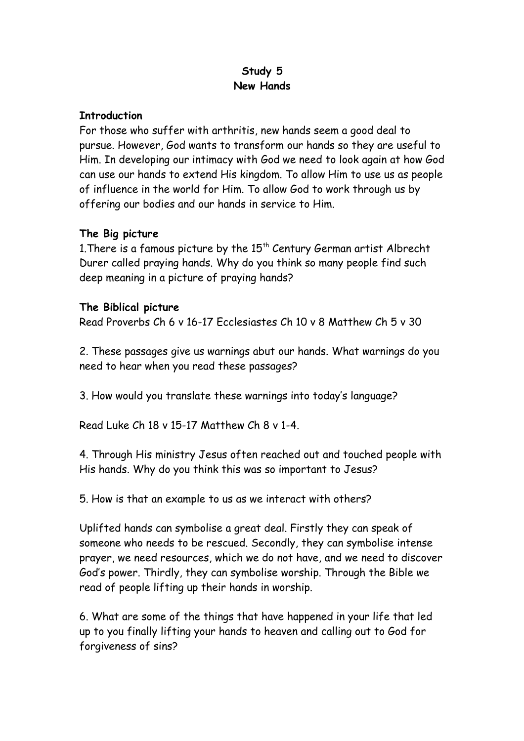## **Study 5 New Hands**

#### **Introduction**

For those who suffer with arthritis, new hands seem a good deal to pursue. However, God wants to transform our hands so they are useful to Him. In developing our intimacy with God we need to look again at how God can use our hands to extend His kingdom. To allow Him to use us as people of influence in the world for Him. To allow God to work through us by offering our bodies and our hands in service to Him.

## **The Big picture**

1. There is a famous picture by the  $15<sup>th</sup>$  Century German artist Albrecht Durer called praying hands. Why do you think so many people find such deep meaning in a picture of praying hands?

### **The Biblical picture**

Read Proverbs Ch 6 v 16-17 Ecclesiastes Ch 10 v 8 Matthew Ch 5 v 30

2. These passages give us warnings abut our hands. What warnings do you need to hear when you read these passages?

3. How would you translate these warnings into today's language?

Read Luke Ch 18 v 15-17 Matthew Ch 8 v 1-4.

4. Through His ministry Jesus often reached out and touched people with His hands. Why do you think this was so important to Jesus?

5. How is that an example to us as we interact with others?

Uplifted hands can symbolise a great deal. Firstly they can speak of someone who needs to be rescued. Secondly, they can symbolise intense prayer, we need resources, which we do not have, and we need to discover God's power. Thirdly, they can symbolise worship. Through the Bible we read of people lifting up their hands in worship.

6. What are some of the things that have happened in your life that led up to you finally lifting your hands to heaven and calling out to God for forgiveness of sins?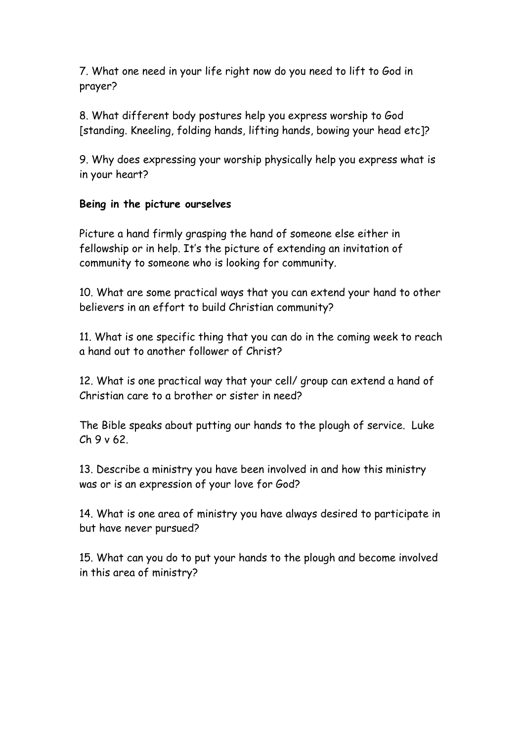7. What one need in your life right now do you need to lift to God in prayer?

8. What different body postures help you express worship to God [standing. Kneeling, folding hands, lifting hands, bowing your head etc]?

9. Why does expressing your worship physically help you express what is in your heart?

### **Being in the picture ourselves**

Picture a hand firmly grasping the hand of someone else either in fellowship or in help. It's the picture of extending an invitation of community to someone who is looking for community.

10. What are some practical ways that you can extend your hand to other believers in an effort to build Christian community?

11. What is one specific thing that you can do in the coming week to reach a hand out to another follower of Christ?

12. What is one practical way that your cell/ group can extend a hand of Christian care to a brother or sister in need?

The Bible speaks about putting our hands to the plough of service. Luke  $Ch9v62$ 

13. Describe a ministry you have been involved in and how this ministry was or is an expression of your love for God?

14. What is one area of ministry you have always desired to participate in but have never pursued?

15. What can you do to put your hands to the plough and become involved in this area of ministry?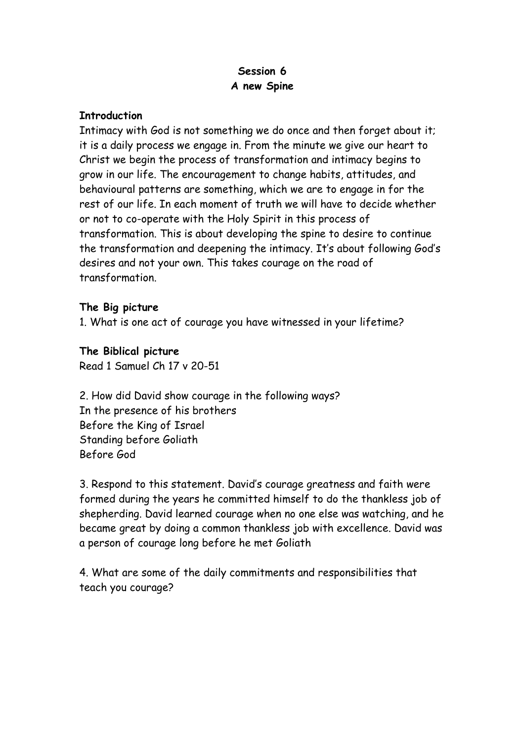## **Session 6 A new Spine**

### **Introduction**

Intimacy with God is not something we do once and then forget about it; it is a daily process we engage in. From the minute we give our heart to Christ we begin the process of transformation and intimacy begins to grow in our life. The encouragement to change habits, attitudes, and behavioural patterns are something, which we are to engage in for the rest of our life. In each moment of truth we will have to decide whether or not to co-operate with the Holy Spirit in this process of transformation. This is about developing the spine to desire to continue the transformation and deepening the intimacy. It's about following God's desires and not your own. This takes courage on the road of transformation.

### **The Big picture**

1. What is one act of courage you have witnessed in your lifetime?

# **The Biblical picture**

Read 1 Samuel Ch 17 v 20-51

2. How did David show courage in the following ways? In the presence of his brothers Before the King of Israel Standing before Goliath Before God

3. Respond to this statement. David's courage greatness and faith were formed during the years he committed himself to do the thankless job of shepherding. David learned courage when no one else was watching, and he became great by doing a common thankless job with excellence. David was a person of courage long before he met Goliath

4. What are some of the daily commitments and responsibilities that teach you courage?